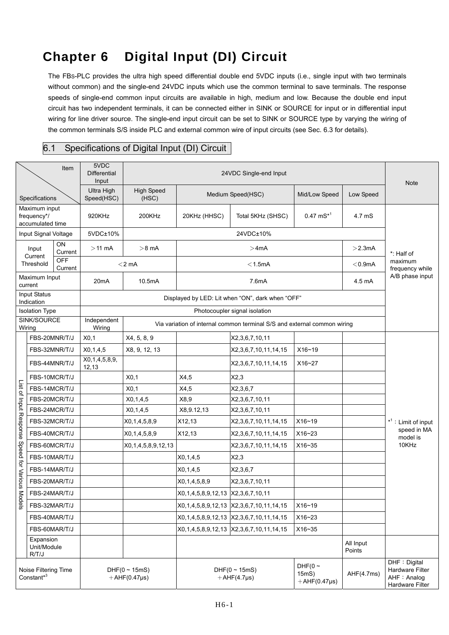## **Chapter 6 Digital Input (DI) Circuit**

The FBS-PLC provides the ultra high speed differential double end 5VDC inputs (i.e., single input with two terminals without common) and the single-end 24VDC inputs which use the common terminal to save terminals. The response speeds of single-end common input circuits are available in high, medium and low. Because the double end input circuit has two independent terminals, it can be connected either in SINK or SOURCE for input or in differential input wiring for line driver source. The single-end input circuit can be set to SINK or SOURCE type by varying the wiring of the common terminals S/S inside PLC and external common wire of input circuits (see Sec. 6.3 for details).

## 6.1 Specifications of Digital Input (DI) Circuit

| Item                                                      |                                   | 5VDC<br>Differential<br>Input | 24VDC Single-end Input                            |                                                                          |                                                  |                                                       |                                             | <b>Note</b>         |                                                                     |
|-----------------------------------------------------------|-----------------------------------|-------------------------------|---------------------------------------------------|--------------------------------------------------------------------------|--------------------------------------------------|-------------------------------------------------------|---------------------------------------------|---------------------|---------------------------------------------------------------------|
| Specifications                                            |                                   |                               | Ultra High<br>Speed(HSC)                          | <b>High Speed</b><br>(HSC)                                               | Medium Speed(HSC)                                |                                                       | Mid/Low Speed                               | Low Speed           |                                                                     |
| Maximum input<br>frequency*/<br>accumulated time          |                                   |                               | 920KHz                                            | 200KHz                                                                   | 20KHz (HHSC)                                     | Total 5KHz (SHSC)                                     | $0.47 \text{ mS}^{*1}$                      | 4.7 mS              |                                                                     |
| Input Signal Voltage                                      |                                   |                               | 5VDC±10%                                          | 24VDC±10%                                                                |                                                  |                                                       |                                             |                     |                                                                     |
| ON<br>Input<br>Current<br>Current                         |                                   | $>11$ mA                      | $>8$ mA                                           | >4mA<br>$>$ 2.3mA                                                        |                                                  |                                                       | *: Half of                                  |                     |                                                                     |
|                                                           | Threshold                         | <b>OFF</b><br>Current         |                                                   | $<$ 2 mA<br>$<$ 1.5mA<br>$<$ 0.9mA                                       |                                                  |                                                       |                                             |                     | maximum<br>frequency while                                          |
| Maximum Input<br>current                                  |                                   | 20 <sub>m</sub> A             | 10.5mA                                            | 7.6mA<br>4.5 mA                                                          |                                                  |                                                       |                                             | A/B phase input     |                                                                     |
| Input Status<br>Indication                                |                                   |                               | Displayed by LED: Lit when "ON", dark when "OFF"  |                                                                          |                                                  |                                                       |                                             |                     |                                                                     |
| <b>Isolation Type</b>                                     |                                   |                               | Photocoupler signal isolation                     |                                                                          |                                                  |                                                       |                                             |                     |                                                                     |
| SINK/SOURCE<br>Wiring                                     |                                   |                               | Independent<br>Wiring                             | Via variation of internal common terminal S/S and external common wiring |                                                  |                                                       |                                             |                     |                                                                     |
| List of Input Response<br>Speed<br>for Various Mo<br>dels | FBS-20MNR/T/J                     |                               | X0,1                                              | X4, 5, 8, 9                                                              |                                                  | X2,3,6,7,10,11                                        |                                             |                     | * <sup>1</sup> : Limit of input<br>speed in MA<br>model is<br>10KHz |
|                                                           | FBS-32MNR/T/J                     |                               | X0, 1, 4, 5                                       | X8, 9, 12, 13                                                            |                                                  | X2,3,6,7,10,11,14,15                                  | X16~19                                      |                     |                                                                     |
|                                                           | FBS-44MNR/T/J                     |                               | X0,1,4,5,8,9,<br>12,13                            |                                                                          |                                                  | X2,3,6,7,10,11,14,15                                  | X16~27                                      |                     |                                                                     |
|                                                           | FBS-10MCR/T/J                     |                               |                                                   | X0,1                                                                     | X4,5                                             | X2,3                                                  |                                             |                     |                                                                     |
|                                                           | FBS-14MCR/T/J                     |                               |                                                   | X <sub>0,1</sub>                                                         | X4,5                                             | X2,3,6,7                                              |                                             |                     |                                                                     |
|                                                           | FBS-20MCR/T/J                     |                               |                                                   | X0, 1, 4, 5                                                              | X8,9                                             | X2,3,6,7,10,11                                        |                                             |                     |                                                                     |
|                                                           | FBS-24MCR/T/J                     |                               |                                                   | X0, 1, 4, 5                                                              | X8,9.12,13                                       | X2,3,6,7,10,11                                        |                                             |                     |                                                                     |
|                                                           | FBS-32MCR/T/J                     |                               |                                                   | X0,1,4,5,8,9                                                             | X12,13                                           | X2,3,6,7,10,11,14,15                                  | $X16 - 19$                                  |                     |                                                                     |
|                                                           | FBS-40MCR/T/J                     |                               |                                                   | X0, 1, 4, 5, 8, 9                                                        | X12,13                                           | X2,3,6,7,10,11,14,15                                  | $X16 - 23$                                  |                     |                                                                     |
|                                                           | FBS-60MCR/T/J                     |                               |                                                   | X0, 1, 4, 5, 8, 9, 12, 13                                                |                                                  | X2,3,6,7,10,11,14,15                                  | $X16 - 35$                                  |                     |                                                                     |
|                                                           | FBS-10MAR/T/J                     |                               |                                                   |                                                                          | X0, 1, 4, 5                                      | X2,3                                                  |                                             |                     |                                                                     |
|                                                           | FBS-14MAR/T/J                     |                               |                                                   |                                                                          | X0, 1, 4, 5                                      | X2,3,6,7                                              |                                             |                     |                                                                     |
|                                                           | FBS-20MAR/T/J                     |                               |                                                   |                                                                          | X0,1,4,5,8,9                                     | X2,3,6,7,10,11                                        |                                             |                     |                                                                     |
|                                                           | FBS-24MAR/T/J                     |                               |                                                   |                                                                          | X0,1,4,5,8,9,12,13 X2,3,6,7,10,11                |                                                       |                                             |                     |                                                                     |
|                                                           | FBS-32MAR/T/J                     |                               |                                                   |                                                                          |                                                  | X0, 1, 4, 5, 8, 9, 12, 13 X2, 3, 6, 7, 10, 11, 14, 15 | X16~19                                      |                     |                                                                     |
|                                                           | FBS-40MAR/T/J                     |                               |                                                   |                                                                          |                                                  | X0, 1, 4, 5, 8, 9, 12, 13 X2, 3, 6, 7, 10, 11, 14, 15 | X16~23                                      |                     |                                                                     |
|                                                           | FBS-60MAR/T/J                     |                               |                                                   |                                                                          |                                                  | X0,1,4,5,8,9,12,13 X2,3,6,7,10,11,14,15               | X16~35                                      |                     |                                                                     |
|                                                           | Expansion<br>Unit/Module<br>R/T/J |                               |                                                   |                                                                          |                                                  |                                                       |                                             | All Input<br>Points |                                                                     |
| Noise Filtering Time<br>Constant <sup>*3</sup>            |                                   |                               | DHF $(0 \sim 15 \text{mS})$<br>$+AHF(0.47 \mu s)$ |                                                                          | DHF( $0 \sim 15 \text{mS}$ )<br>$+AHF(4.7\mu s)$ |                                                       | DHF( $0 \sim$<br>15mS<br>$+AHF(0.47 \mu s)$ | AHF(4.7ms)          | DHF : Digital<br>Hardware Filter<br>AHF : Analog<br>Hardware Filter |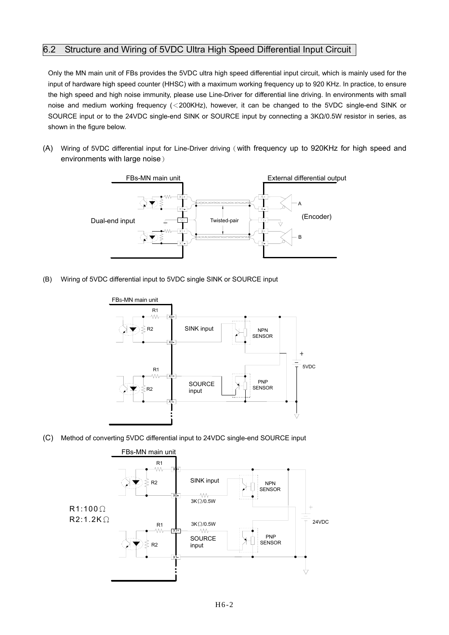## 6.2 Structure and Wiring of 5VDC Ultra High Speed Differential Input Circuit

Only the MN main unit of FBs provides the 5VDC ultra high speed differential input circuit, which is mainly used for the input of hardware high speed counter (HHSC) with a maximum working frequency up to 920 KHz. In practice, to ensure the high speed and high noise immunity, please use Line-Driver for differential line driving. In environments with small noise and medium working frequency (<200KHz), however, it can be changed to the 5VDC single-end SINK or SOURCE input or to the 24VDC single-end SINK or SOURCE input by connecting a 3KΩ/0.5W resistor in series, as shown in the figure below.

(A) Wiring of 5VDC differential input for Line-Driver driving(with frequency up to 920KHz for high speed and environments with large noise)



(B) Wiring of 5VDC differential input to 5VDC single SINK or SOURCE input



(C) Method of converting 5VDC differential input to 24VDC single-end SOURCE input